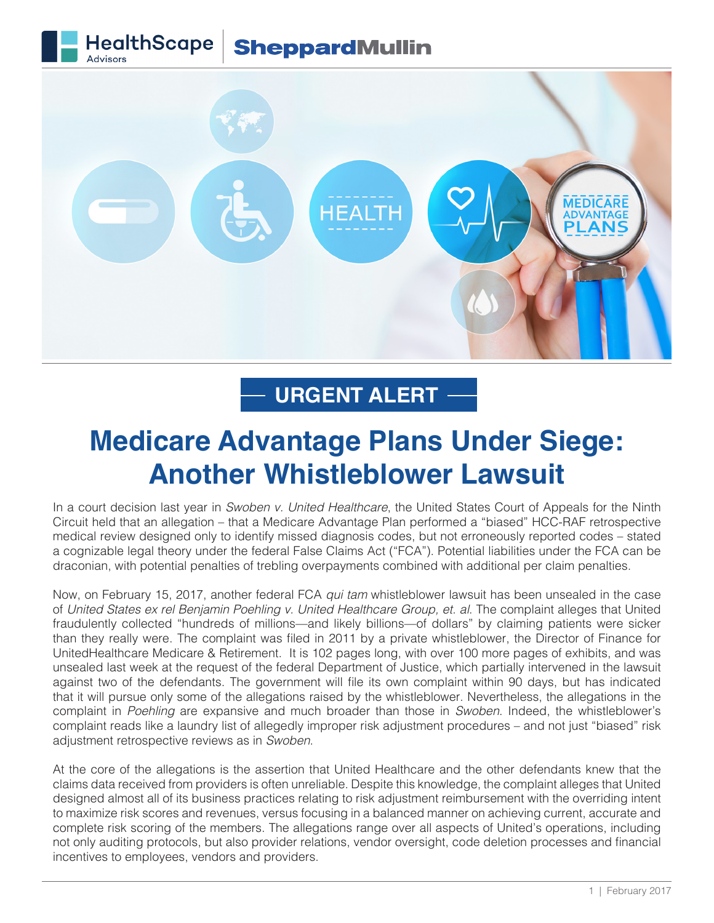## **HealthScape SheppardMullin**



## **URGENT ALERT**

## **Medicare Advantage Plans Under Siege: Another Whistleblower Lawsuit**

In a court decision last year in *Swoben v. United Healthcare*, the United States Court of Appeals for the Ninth Circuit held that an allegation – that a Medicare Advantage Plan performed a "biased" HCC-RAF retrospective medical review designed only to identify missed diagnosis codes, but not erroneously reported codes – stated a cognizable legal theory under the federal False Claims Act ("FCA"). Potential liabilities under the FCA can be draconian, with potential penalties of trebling overpayments combined with additional per claim penalties.

Now, on February 15, 2017, another federal FCA *qui tam* whistleblower lawsuit has been unsealed in the case of *United States ex rel Benjamin Poehling v. United Healthcare Group, et. al*. The complaint alleges that United fraudulently collected "hundreds of millions—and likely billions—of dollars" by claiming patients were sicker than they really were. The complaint was filed in 2011 by a private whistleblower, the Director of Finance for UnitedHealthcare Medicare & Retirement. It is 102 pages long, with over 100 more pages of exhibits, and was unsealed last week at the request of the federal Department of Justice, which partially intervened in the lawsuit against two of the defendants. The government will file its own complaint within 90 days, but has indicated that it will pursue only some of the allegations raised by the whistleblower. Nevertheless, the allegations in the complaint in *Poehling* are expansive and much broader than those in *Swoben*. Indeed, the whistleblower's complaint reads like a laundry list of allegedly improper risk adjustment procedures – and not just "biased" risk adjustment retrospective reviews as in *Swoben*.

At the core of the allegations is the assertion that United Healthcare and the other defendants knew that the claims data received from providers is often unreliable. Despite this knowledge, the complaint alleges that United designed almost all of its business practices relating to risk adjustment reimbursement with the overriding intent to maximize risk scores and revenues, versus focusing in a balanced manner on achieving current, accurate and complete risk scoring of the members. The allegations range over all aspects of United's operations, including not only auditing protocols, but also provider relations, vendor oversight, code deletion processes and financial incentives to employees, vendors and providers.